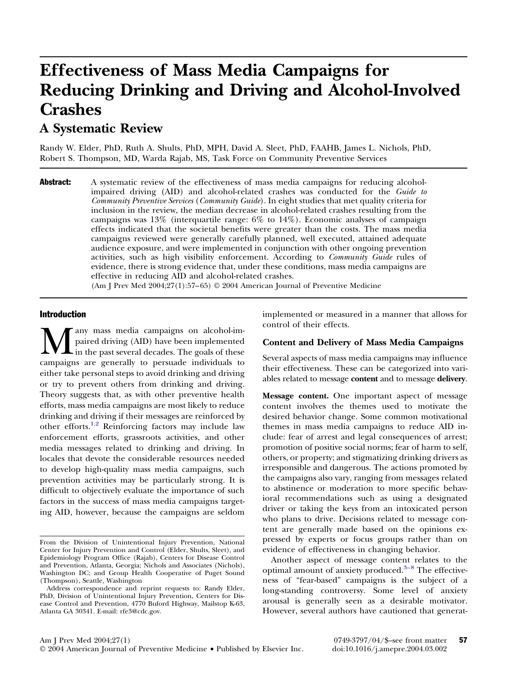# **Effectiveness of Mass Media Campaigns for Reducing Drinking and Driving and Alcohol-Involved Crashes**

## **A Systematic Review**

Randy W. Elder, PhD, Ruth A. Shults, PhD, MPH, David A. Sleet, PhD, FAAHB, James L. Nichols, PhD, Robert S. Thompson, MD, Warda Rajab, MS, Task Force on Community Preventive Services

**Abstract:** A systematic review of the effectiveness of mass media campaigns for reducing alcoholimpaired driving (AID) and alcohol-related crashes was conducted for the *Guide to Community Preventive Services* (*Community Guide*). In eight studies that met quality criteria for inclusion in the review, the median decrease in alcohol-related crashes resulting from the campaigns was 13% (interquartile range: 6% to 14%). Economic analyses of campaign effects indicated that the societal benefits were greater than the costs. The mass media campaigns reviewed were generally carefully planned, well executed, attained adequate audience exposure, and were implemented in conjunction with other ongoing prevention activities, such as high visibility enforcement. According to *Community Guide* rules of evidence, there is strong evidence that, under these conditions, mass media campaigns are effective in reducing AID and alcohol-related crashes.

(Am J Prev Med 2004;27(1):57–65) © 2004 American Journal of Preventive Medicine

#### Introduction

**M** any mass media campaigns on alcohol-im-<br>paired driving (AID) have been implemented<br>campaigns are generally to persuade individuals to paired driving (AID) have been implemented in the past several decades. The goals of these campaigns are generally to persuade individuals to either take personal steps to avoid drinking and driving or try to prevent others from drinking and driving. Theory suggests that, as with other preventive health efforts, mass media campaigns are most likely to reduce drinking and driving if their messages are reinforced by other efforts[.1,2](#page-8-0) Reinforcing factors may include law enforcement efforts, grassroots activities, and other media messages related to drinking and driving. In locales that devote the considerable resources needed to develop high-quality mass media campaigns, such prevention activities may be particularly strong. It is difficult to objectively evaluate the importance of such factors in the success of mass media campaigns targeting AID, however, because the campaigns are seldom

implemented or measured in a manner that allows for control of their effects.

## **Content and Delivery of Mass Media Campaigns**

Several aspects of mass media campaigns may influence their effectiveness. These can be categorized into variables related to message **content** and to message **delivery**.

**Message content.** One important aspect of message content involves the themes used to motivate the desired behavior change. Some common motivational themes in mass media campaigns to reduce AID include: fear of arrest and legal consequences of arrest; promotion of positive social norms; fear of harm to self, others, or property; and stigmatizing drinking drivers as irresponsible and dangerous. The actions promoted by the campaigns also vary, ranging from messages related to abstinence or moderation to more specific behavioral recommendations such as using a designated driver or taking the keys from an intoxicated person who plans to drive. Decisions related to message content are generally made based on the opinions expressed by experts or focus groups rather than on evidence of effectiveness in changing behavior.

Another aspect of message content relates to the optimal amount of anxiety produced. $3-8$  The effectiveness of "fear-based" campaigns is the subject of a long-standing controversy. Some level of anxiety arousal is generally seen as a desirable motivator. However, several authors have cautioned that generat-

From the Division of Unintentional Injury Prevention, National Center for Injury Prevention and Control (Elder, Shults, Sleet), and Epidemiology Program Office (Rajab), Centers for Disease Control and Prevention, Atlanta, Georgia; Nichols and Associates (Nichols), Washington DC; and Group Health Cooperative of Puget Sound (Thompson), Seattle, Washington

Address correspondence and reprint requests to: Randy Elder, PhD, Division of Unintentional Injury Prevention, Centers for Disease Control and Prevention, 4770 Buford Highway, Mailstop K-63, Atlanta GA 30341. E-mail: rfe3@cdc.gov.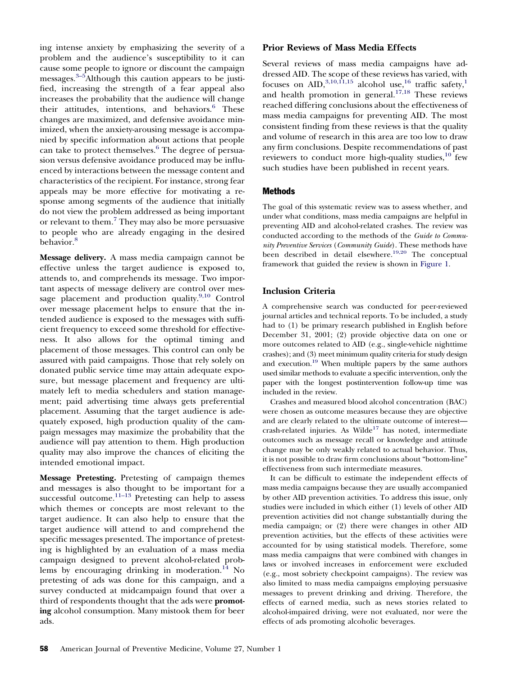ing intense anxiety by emphasizing the severity of a problem and the audience's susceptibility to it can cause some people to ignore or discount the campaign messages[.3–5](#page-8-0) Although this caution appears to be justified, increasing the strength of a fear appeal also increases the probability that the audience will change their attitudes, intentions, and behaviors. $6$  These changes are maximized, and defensive avoidance minimized, when the anxiety-arousing message is accompanied by specific information about actions that people can take to protect themselves[.6](#page-8-0) The degree of persuasion versus defensive avoidance produced may be influenced by interactions between the message content and characteristics of the recipient. For instance, strong fear appeals may be more effective for motivating a response among segments of the audience that initially do not view the problem addressed as being important or relevant to them[.7](#page-8-0) They may also be more persuasive to people who are already engaging in the desired behavior.<sup>8</sup>

**Message delivery.** A mass media campaign cannot be effective unless the target audience is exposed to, attends to, and comprehends its message. Two important aspects of message delivery are control over message placement and production quality. $9,10$  Control over message placement helps to ensure that the intended audience is exposed to the messages with sufficient frequency to exceed some threshold for effectiveness. It also allows for the optimal timing and placement of those messages. This control can only be assured with paid campaigns. Those that rely solely on donated public service time may attain adequate exposure, but message placement and frequency are ultimately left to media schedulers and station management; paid advertising time always gets preferential placement. Assuming that the target audience is adequately exposed, high production quality of the campaign messages may maximize the probability that the audience will pay attention to them. High production quality may also improve the chances of eliciting the intended emotional impact.

**Message Pretesting.** Pretesting of campaign themes and messages is also thought to be important for a successful outcome. $11-13$  Pretesting can help to assess which themes or concepts are most relevant to the target audience. It can also help to ensure that the target audience will attend to and comprehend the specific messages presented. The importance of pretesting is highlighted by an evaluation of a mass media campaign designed to prevent alcohol-related problems by encouraging drinking in moderation.<sup>14</sup> No pretesting of ads was done for this campaign, and a survey conducted at midcampaign found that over a third of respondents thought that the ads were **promoting** alcohol consumption. Many mistook them for beer ads.

#### **Prior Reviews of Mass Media Effects**

Several reviews of mass media campaigns have addressed AID. The scope of these reviews has varied, with focuses on AID,<sup>3[,1](#page-8-0)0,11,15</sup> alcohol use,<sup>16</sup> traffic safety,<sup>1</sup> and health promotion in general.<sup>17,18</sup> These reviews reached differing conclusions about the effectiveness of mass media campaigns for preventing AID. The most consistent finding from these reviews is that the quality and volume of research in this area are too low to draw any firm conclusions. Despite recommendations of past reviewers to conduct more high-quality studies, $^{10}$  few such studies have been published in recent years.

## Methods

The goal of this systematic review was to assess whether, and under what conditions, mass media campaigns are helpful in preventing AID and alcohol-related crashes. The review was conducted according to the methods of the *Guide to Community Preventive Services* (*Community Guide*). These methods have been described in detail elsewhere.<sup>19,20</sup> The conceptual framework that guided the review is shown in [Figure 1.](#page-2-0)

## **Inclusion Criteria**

A comprehensive search was conducted for peer-reviewed journal articles and technical reports. To be included, a study had to (1) be primary research published in English before December 31, 2001; (2) provide objective data on one or more outcomes related to AID (e.g., single-vehicle nighttime crashes); and (3) meet minimum quality criteria for study design and execution[.19](#page-8-0) When multiple papers by the same authors used similar methods to evaluate a specific intervention, only the paper with the longest postintervention follow-up time was included in the review.

Crashes and measured blood alcohol concentration (BAC) were chosen as outcome measures because they are objective and are clearly related to the ultimate outcome of interest crash-related injuries. As Wilde<sup>17</sup> has noted, intermediate outcomes such as message recall or knowledge and attitude change may be only weakly related to actual behavior. Thus, it is not possible to draw firm conclusions about "bottom-line" effectiveness from such intermediate measures.

It can be difficult to estimate the independent effects of mass media campaigns because they are usually accompanied by other AID prevention activities. To address this issue, only studies were included in which either (1) levels of other AID prevention activities did not change substantially during the media campaign; or (2) there were changes in other AID prevention activities, but the effects of these activities were accounted for by using statistical models. Therefore, some mass media campaigns that were combined with changes in laws or involved increases in enforcement were excluded (e.g., most sobriety checkpoint campaigns). The review was also limited to mass media campaigns employing persuasive messages to prevent drinking and driving. Therefore, the effects of earned media, such as news stories related to alcohol-impaired driving, were not evaluated, nor were the effects of ads promoting alcoholic beverages.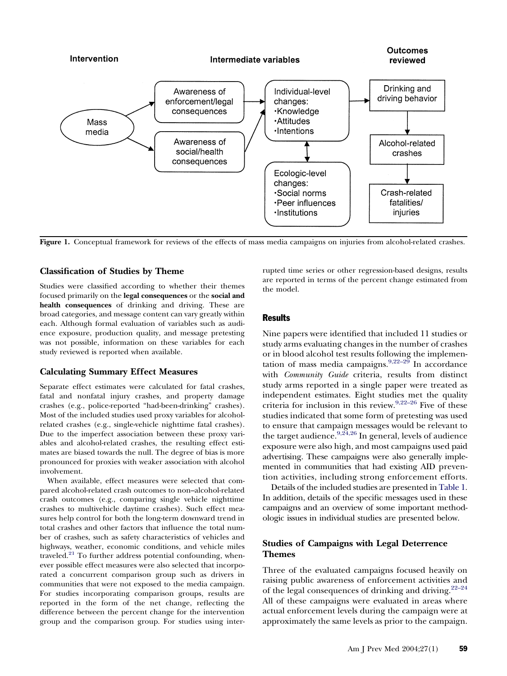<span id="page-2-0"></span>

Figure 1. Conceptual framework for reviews of the effects of mass media campaigns on injuries from alcohol-related crashes.

#### **Classification of Studies by Theme**

Studies were classified according to whether their themes focused primarily on the **legal consequences** or the **social and health consequences** of drinking and driving. These are broad categories, and message content can vary greatly within each. Although formal evaluation of variables such as audience exposure, production quality, and message pretesting was not possible, information on these variables for each study reviewed is reported when available.

#### **Calculating Summary Effect Measures**

Separate effect estimates were calculated for fatal crashes, fatal and nonfatal injury crashes, and property damage crashes (e.g., police-reported "had-been-drinking" crashes). Most of the included studies used proxy variables for alcoholrelated crashes (e.g., single-vehicle nighttime fatal crashes). Due to the imperfect association between these proxy variables and alcohol-related crashes, the resulting effect estimates are biased towards the null. The degree of bias is more pronounced for proxies with weaker association with alcohol involvement.

When available, effect measures were selected that compared alcohol-related crash outcomes to non–alcohol-related crash outcomes (e.g., comparing single vehicle nighttime crashes to multivehicle daytime crashes). Such effect measures help control for both the long-term downward trend in total crashes and other factors that influence the total number of crashes, such as safety characteristics of vehicles and highways, weather, economic conditions, and vehicle miles traveled.<sup>21</sup> To further address potential confounding, whenever possible effect measures were also selected that incorporated a concurrent comparison group such as drivers in communities that were not exposed to the media campaign. For studies incorporating comparison groups, results are reported in the form of the net change, reflecting the difference between the percent change for the intervention group and the comparison group. For studies using interrupted time series or other regression-based designs, results are reported in terms of the percent change estimated from the model.

#### **Results**

Nine papers were identified that included 11 studies or study arms evaluating changes in the number of crashes or in blood alcohol test results following the implementation of mass media campaigns. $9,22-29$  In accordance with *Community Guide* criteria, results from distinct study arms reported in a single paper were treated as independent estimates. Eight studies met the quality criteria for inclusion in this review.<sup>9,22–26</sup> Five of these studies indicated that some form of pretesting was used to ensure that campaign messages would be relevant to the target audience. $9,24,26$  In general, levels of audience exposure were also high, and most campaigns used paid advertising. These campaigns were also generally implemented in communities that had existing AID prevention activities, including strong enforcement efforts.

Details of the included studies are presented in [Table 1.](#page-3-0) In addition, details of the specific messages used in these campaigns and an overview of some important methodologic issues in individual studies are presented below.

#### **Studies of Campaigns with Legal Deterrence Themes**

Three of the evaluated campaigns focused heavily on raising public awareness of enforcement activities and of the legal consequences of drinking and driving.<sup>22–24</sup> All of these campaigns were evaluated in areas where actual enforcement levels during the campaign were at approximately the same levels as prior to the campaign.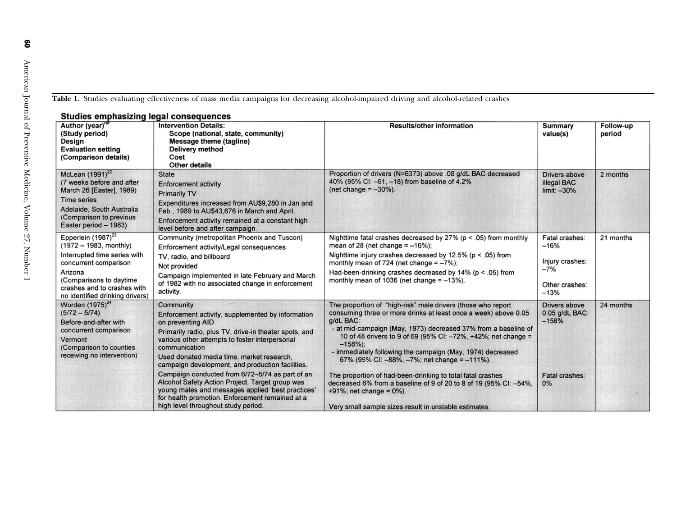<span id="page-3-0"></span>**Table 1.** Studies evaluating effectiveness of mass media campaigns for decreasing alcohol-impaired driving and alcohol-related crashes

| Author (year) <sup>ref</sup><br>(Study period)<br>Design<br><b>Evaluation setting</b><br>(Comparison details)                                                                                                      | <b>Intervention Details:</b><br>Scope (national, state, community)<br>Message theme (tagline)<br>Delivery method<br>Cost<br><b>Other details</b>                                                                                                                                                                 | <b>Results/other information</b>                                                                                                                                                                                                                                                                                                                                                                           | <b>Summary</b><br>value(s)                                                       | Follow-up<br>period |
|--------------------------------------------------------------------------------------------------------------------------------------------------------------------------------------------------------------------|------------------------------------------------------------------------------------------------------------------------------------------------------------------------------------------------------------------------------------------------------------------------------------------------------------------|------------------------------------------------------------------------------------------------------------------------------------------------------------------------------------------------------------------------------------------------------------------------------------------------------------------------------------------------------------------------------------------------------------|----------------------------------------------------------------------------------|---------------------|
| McLean $(1991)^{22}$<br>(7 weeks before and after<br>March 26 [Easter], 1989)<br><b>Time series</b><br>Adelaide, South Australia<br>(Comparison to previous<br>Easter period - 1983)                               | <b>State</b><br><b>Enforcement activity</b><br>Primarily TV<br>Expenditures increased from AU\$9,280 in Jan and<br>Feb., 1989 to AU\$43,676 in March and April.<br>Enforcement activity remained at a constant high<br>level before and after campaign.                                                          | Proportion of drivers (N=6373) above .08 g/dL BAC decreased<br>40% (95% CI: -61, -18) from baseline of 4.2%<br>(net change $= -30\%$ ).                                                                                                                                                                                                                                                                    | Drivers above<br>illegal BAC<br>$limit: -30%$                                    | 2 months            |
| Epperlein $(1987)^{23}$<br>(1972 – 1983, monthly)<br>Interrupted time series with<br>concurrent comparison<br>Arizona<br>(Comparisons to daytime<br>crashes and to crashes with<br>no identified drinking drivers) | Community (metropolitan Phoenix and Tuscon)<br>Enforcement activity/Legal consequences<br>TV, radio, and billboard<br>Not provided<br>Campaign implemented in late February and March<br>of 1982 with no associated change in enforcement<br>activity.                                                           | Nighttime fatal crashes decreased by 27% ( $p < .05$ ) from monthly<br>mean of 28 (net change $= -16\%$ );<br>Nighttime injury crashes decreased by 12.5% ( $p < .05$ ) from<br>monthly mean of 724 (net change $= -7\%$ );<br>Had-been-drinking crashes decreased by 14% (p < .05) from<br>monthly mean of 1036 (net change $= -13\%$ ).                                                                  | Fatal crashes:<br>$-16%$<br>Injury crashes:<br>$-7%$<br>Other crashes:<br>$-13%$ | 21 months           |
| Worden $(1975)^{24}$<br>$(5/72 - 5/74)$<br>Before-and-after with<br>concurrent comparison<br>Vermont<br>(Comparison to counties<br>receiving no intervention)                                                      | Community<br>Enforcement activity, supplemented by information<br>on preventing AID<br>Primarily radio, plus TV, drive-in theater spots, and<br>various other attempts to foster interpersonal<br>communication<br>Used donated media time, market research,<br>campaign development, and production facilities. | The proportion of "high-risk" male drivers (those who report<br>consuming three or more drinks at least once a week) above 0.05<br>g/dL BAC:<br>- at mid-campaign (May, 1973) decreased 37% from a baseline of<br>10 of 48 drivers to 9 of 69 (95% CI: -72%, +42%; net change =<br>$-158%$ :<br>- immediately following the campaign (May, 1974) decreased<br>67% (95% CI: -88%, -7%; net change = -111%). | Drivers above<br>0.05 g/dL BAC:<br>$-158%$                                       | 24 months           |
|                                                                                                                                                                                                                    | Campaign conducted from 6/72-5/74 as part of an<br>Alcohol Safety Action Project. Target group was<br>young males and messages applied 'best practices'<br>for health promotion. Enforcement remained at a<br>high level throughout study period.                                                                | The proportion of had-been-drinking to total fatal crashes<br>decreased 6% from a baseline of 9 of 20 to 8 of 19 (95% CI: -54%.<br>+91%; net change = $0\%$ ).<br>Very small sample sizes result in unstable estimates.                                                                                                                                                                                    | Fatal crashes:<br>0%                                                             |                     |

## Studies emphasizing legal consequences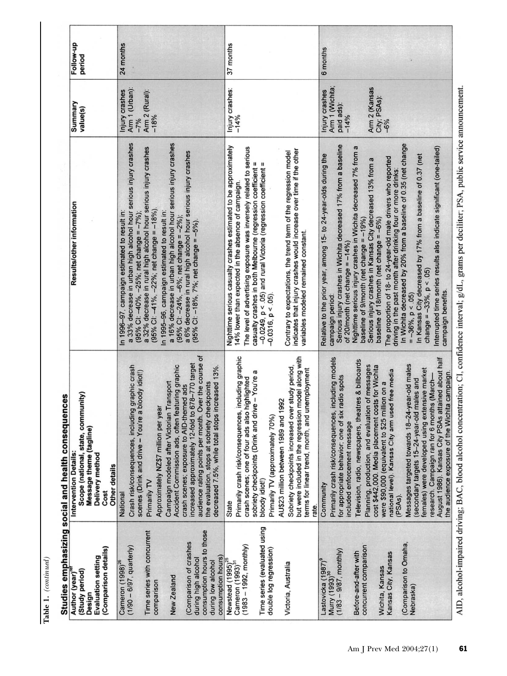|                                                                                                                                                                                                                                                   | Studies emphasizing social and health consequences                                                                                                                                                                                                                                                                                                                                                                                                                                                                                                                                                                                                                                                                                                     |                                                                                                                                                                                                                                                                                                                                                                                                                                                                                                                                                                                                                                                                                                                                                                                                                                                |                                                                                                    |                     |
|---------------------------------------------------------------------------------------------------------------------------------------------------------------------------------------------------------------------------------------------------|--------------------------------------------------------------------------------------------------------------------------------------------------------------------------------------------------------------------------------------------------------------------------------------------------------------------------------------------------------------------------------------------------------------------------------------------------------------------------------------------------------------------------------------------------------------------------------------------------------------------------------------------------------------------------------------------------------------------------------------------------------|------------------------------------------------------------------------------------------------------------------------------------------------------------------------------------------------------------------------------------------------------------------------------------------------------------------------------------------------------------------------------------------------------------------------------------------------------------------------------------------------------------------------------------------------------------------------------------------------------------------------------------------------------------------------------------------------------------------------------------------------------------------------------------------------------------------------------------------------|----------------------------------------------------------------------------------------------------|---------------------|
| (Comparison details)<br>Evaluation setting<br>Author (year) <sup>re</sup><br>(Study period)<br>Design                                                                                                                                             | Scope (national, state, community)<br>Message theme (tagline)<br>Intervention Details:<br>Delivery method<br>Other details<br>Cost                                                                                                                                                                                                                                                                                                                                                                                                                                                                                                                                                                                                                     | Results/other information                                                                                                                                                                                                                                                                                                                                                                                                                                                                                                                                                                                                                                                                                                                                                                                                                      | Summary<br>value(s)                                                                                | Follow-up<br>period |
| Time series with concurrent<br>consumption hours to those<br>(Comparison of crashes<br>$(1/90 - 6/97,$ quarterly)<br>consumption hours)<br>during high alcohol<br>during low alcohol<br>Cameron (1998) <sup>26</sup><br>New Zealand<br>comparison | audience rating points per month. Over the course of<br>increased approximately 12-fold to 678-770 target<br>Crash risk/consequences, including graphic crash<br>Accident Commission ads, often featuring graphic<br>decreased 7.5%, while total stops increased 13%.<br>scenes (Drink and drive - You're a bloody idiot!)<br>Campaign modeled after Victorian Transport<br>the evaluation, stops at sobriety checkpoints<br>crash scenes; exposure to AID-themed ads<br>Approximately NZ\$7 million per year<br>Primarily TV<br>National                                                                                                                                                                                                              | a 33% decrease in urban high alcohol hour serious injury crashes<br>a 16% decrease in urban high alcohol hour serious injury crashes<br>a 32% decrease in rural high alcohol hour serious injury crashes<br>a 6% decrease in rural high alcohol hour serious injury crashes<br>(95% Ci: -41%, -22%; net change = $-18\%$ )<br>In 1995-96, campaign estimated to result in:<br>in 1996-97, campaign estimated to result in:<br>(95% CI: $-40\%$ , $-25\%$ ; net change = $-7\%$ );<br>(95% CI: -24%, -6%; net change = -2%);<br>(95% CI: $-18\%$ , $7\%$ ; net change = $-5\%$ ).                                                                                                                                                                                                                                                               | Arm 1 (Urban):<br>Injury crashes<br>Arm 2 (Rural):<br>$-18%$<br>$-7%$                              | 24 months           |
| Time series (evaluated using<br>$(1983 - 1992,$ monthly)<br>double log regression)<br>Newstead (1995) <sup>25</sup><br>Cameron (1993) <sup>51</sup><br>Victoria, Australia                                                                        | Primarily crash risk/consequences, including graphic<br>but were included in the regression model along with<br>Sobriety checkpoints increased over study period<br>terms for linear trend, month, and unemployment<br>sobriety checkpoints (Drink and drive - You're a<br>crash scenes; one of four ads also highlighted<br>AU\$23 million between 1989 and 1992<br>Primarily TV (approximately 70%)<br>bloody idiot!)<br>State<br>rate.                                                                                                                                                                                                                                                                                                              | Nighttime serious casualty crashes estimated to be approximately<br>The level of advertising exposure was inversely related to serious<br>indicates that injury crashes would increase over time if the other<br>Contrary to expectations, the trend term of the regression model<br>casualty crashes in both Melbourne (regression coefficient =<br>-0.0249, p < .05) and rural Victoria (regression coefficient =<br>14% lower than expected in the absence of campaign.<br>variables modeled remained constant.<br>$-0.0316$ , $p < .05$ ).                                                                                                                                                                                                                                                                                                 | Injury crashes:<br>$-14%$                                                                          | 37 months           |
| (Comparison to Omaha,<br>concurrent comparison<br>$(1/83 - 9/87,$ monthly)<br>Before-and-after with<br>Kansas City, Kansas<br>Lastovicka (1987) <sup>9</sup><br>Murry (1993) <sup>30</sup><br>Wichita, Kansas<br>Nebraska)                        | including models<br>August 1986). Kansas City PSAs attained about half<br>Television, radio, newspapers, theatres & billboards<br>Messages targeted towards 18-24-year-old males<br>Planning, production, and evaluation of messages<br>cost \$442,000. Media placement costs for Wichita<br>females) were developed using extensive market<br>national level). Kansas City arm used free media<br>the audience exposure of the Wichita campaign.<br>radio spots<br>research. Campaign ran for 6 months (March-<br>(secondary targets 15-24-year-old males and<br>were \$90,000 (equivalent to \$25 million on a<br>Primarily crash risk/consequences,<br>for appropriate behavior; one of six<br>included enforcement message<br>Community<br>(PSAs). | In Wichita decreased by 20% from a baseline of 0.35 (net change<br>Serious injury crashes in Wichita decreased 17% from a baseline<br>Interrupted time series results also indicate significant (one-tailed)<br>Nighttime serious injury crashes in Wichita decreased 7% from a<br>Relative to the prior year, among 15- to 24-year-olds during the<br>In Kansas City decreased by 17% from a baseline of 0.37 (net<br>The proportion of 18- to 24-year-old male drivers who reported<br>Serious injury crashes in Kansas City decreased 13% from a<br>driving in the past month after drinking four or more drinks:<br>baseline of 9/month (net change = -19%)<br>baseline of 18/month (net change = -6%)<br>of 20/month (net change = -14%)<br>change = $-33%$ , $p < .05$ )<br>campaign benefits.<br>$= -36\%, p < .05$<br>campaign period: | Am 1 (Wichita;<br>Arm 2 (Kansas<br>Injury crashes<br>City; PSAs):<br>paid ads):<br>$-14%$<br>$-6%$ | 6 months            |

**Table 1.** *(continued)*

Table 1. (continued)

AID, alcohol-impaired driving; BAC, blood alcohol concentration; CI, confidence interval; g/dL, grams per deciliter; PSA, public service announcement.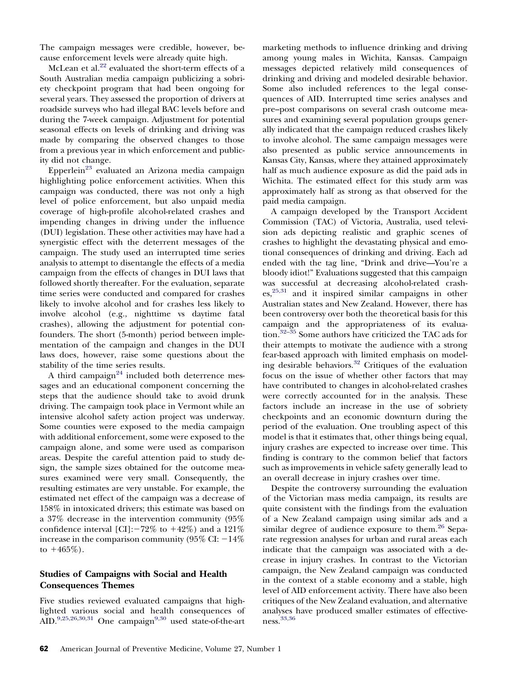The campaign messages were credible, however, because enforcement levels were already quite high.

McLean et al.<sup>22</sup> evaluated the short-term effects of a South Australian media campaign publicizing a sobriety checkpoint program that had been ongoing for several years. They assessed the proportion of drivers at roadside surveys who had illegal BAC levels before and during the 7-week campaign. Adjustment for potential seasonal effects on levels of drinking and driving was made by comparing the observed changes to those from a previous year in which enforcement and publicity did not change.

Epperlein<sup>23</sup> evaluated an Arizona media campaign highlighting police enforcement activities. When this campaign was conducted, there was not only a high level of police enforcement, but also unpaid media coverage of high-profile alcohol-related crashes and impending changes in driving under the influence (DUI) legislation. These other activities may have had a synergistic effect with the deterrent messages of the campaign. The study used an interrupted time series analysis to attempt to disentangle the effects of a media campaign from the effects of changes in DUI laws that followed shortly thereafter. For the evaluation, separate time series were conducted and compared for crashes likely to involve alcohol and for crashes less likely to involve alcohol (e.g., nighttime vs daytime fatal crashes), allowing the adjustment for potential confounders. The short (5-month) period between implementation of the campaign and changes in the DUI laws does, however, raise some questions about the stability of the time series results.

A third campaign $24$  included both deterrence messages and an educational component concerning the steps that the audience should take to avoid drunk driving. The campaign took place in Vermont while an intensive alcohol safety action project was underway. Some counties were exposed to the media campaign with additional enforcement, some were exposed to the campaign alone, and some were used as comparison areas. Despite the careful attention paid to study design, the sample sizes obtained for the outcome measures examined were very small. Consequently, the resulting estimates are very unstable. For example, the estimated net effect of the campaign was a decrease of 158% in intoxicated drivers; this estimate was based on a 37% decrease in the intervention community (95% confidence interval [CI]: $-72\%$  to  $+42\%$ ) and a  $121\%$ increase in the comparison community (95% CI:  $-14\%$ ) to  $+465\%$ ).

## **Studies of Campaigns with Social and Health Consequences Themes**

Five studies reviewed evaluated campaigns that highlighted various social and health consequences of  $\rm{AID.}^{9,25,26,30,31}$  One campaign $^{9,30}$  used state-of-the-art

marketing methods to influence drinking and driving among young males in Wichita, Kansas. Campaign messages depicted relatively mild consequences of drinking and driving and modeled desirable behavior. Some also included references to the legal consequences of AID. Interrupted time series analyses and pre–post comparisons on several crash outcome measures and examining several population groups generally indicated that the campaign reduced crashes likely to involve alcohol. The same campaign messages were also presented as public service announcements in Kansas City, Kansas, where they attained approximately half as much audience exposure as did the paid ads in Wichita. The estimated effect for this study arm was approximately half as strong as that observed for the paid media campaign.

A campaign developed by the Transport Accident Commission (TAC) of Victoria, Australia, used television ads depicting realistic and graphic scenes of crashes to highlight the devastating physical and emotional consequences of drinking and driving. Each ad ended with the tag line, "Drink and drive—You're a bloody idiot!" Evaluations suggested that this campaign was successful at decreasing alcohol-related crash $es,^{25,31}$  and it inspired similar campaigns in other Australian states and New Zealand. However, there has been controversy over both the theoretical basis for this campaign and the appropriateness of its evaluation[.32–35](#page-8-0) Some authors have criticized the TAC ads for their attempts to motivate the audience with a strong fear-based approach with limited emphasis on modeling desirable behaviors.<sup>32</sup> Critiques of the evaluation focus on the issue of whether other factors that may have contributed to changes in alcohol-related crashes were correctly accounted for in the analysis. These factors include an increase in the use of sobriety checkpoints and an economic downturn during the period of the evaluation. One troubling aspect of this model is that it estimates that, other things being equal, injury crashes are expected to increase over time. This finding is contrary to the common belief that factors such as improvements in vehicle safety generally lead to an overall decrease in injury crashes over time.

Despite the controversy surrounding the evaluation of the Victorian mass media campaign, its results are quite consistent with the findings from the evaluation of a New Zealand campaign using similar ads and a similar degree of audience exposure to them. $26$  Separate regression analyses for urban and rural areas each indicate that the campaign was associated with a decrease in injury crashes. In contrast to the Victorian campaign, the New Zealand campaign was conducted in the context of a stable economy and a stable, high level of AID enforcement activity. There have also been critiques of the New Zealand evaluation, and alternative analyses have produced smaller estimates of effectiveness[.33,36](#page-8-0)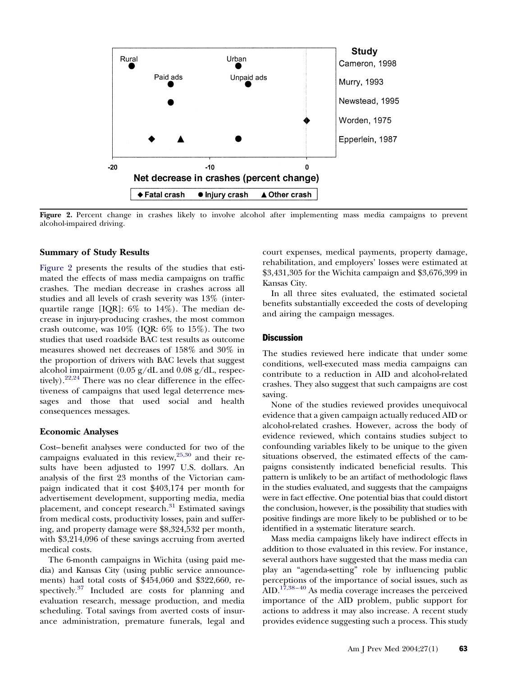

**Figure 2.** Percent change in crashes likely to involve alcohol after implementing mass media campaigns to prevent alcohol-impaired driving.

#### **Summary of Study Results**

Figure 2 presents the results of the studies that estimated the effects of mass media campaigns on traffic crashes. The median decrease in crashes across all studies and all levels of crash severity was 13% (interquartile range [IQR]: 6% to 14%). The median decrease in injury-producing crashes, the most common crash outcome, was  $10\%$  (IQR:  $6\%$  to  $15\%$ ). The two studies that used roadside BAC test results as outcome measures showed net decreases of 158% and 30% in the proportion of drivers with BAC levels that suggest alcohol impairment (0.05 g/dL and 0.08 g/dL, respectively).<sup>22,24</sup> There was no clear difference in the effectiveness of campaigns that used legal deterrence messages and those that used social and health consequences messages.

#### **Economic Analyses**

Cost–benefit analyses were conducted for two of the campaigns evaluated in this review, $25,30$  and their results have been adjusted to 1997 U.S. dollars. An analysis of the first 23 months of the Victorian campaign indicated that it cost \$403,174 per month for advertisement development, supporting media, media placement, and concept research.<sup>31</sup> Estimated savings from medical costs, productivity losses, pain and suffering, and property damage were \$8,324,532 per month, with \$3,214,096 of these savings accruing from averted medical costs.

The 6-month campaigns in Wichita (using paid media) and Kansas City (using public service announcements) had total costs of \$454,060 and \$322,660, respectively.<sup>37</sup> Included are costs for planning and evaluation research, message production, and media scheduling. Total savings from averted costs of insurance administration, premature funerals, legal and court expenses, medical payments, property damage, rehabilitation, and employers' losses were estimated at \$3,431,305 for the Wichita campaign and \$3,676,399 in Kansas City.

In all three sites evaluated, the estimated societal benefits substantially exceeded the costs of developing and airing the campaign messages.

#### **Discussion**

The studies reviewed here indicate that under some conditions, well-executed mass media campaigns can contribute to a reduction in AID and alcohol-related crashes. They also suggest that such campaigns are cost saving.

None of the studies reviewed provides unequivocal evidence that a given campaign actually reduced AID or alcohol-related crashes. However, across the body of evidence reviewed, which contains studies subject to confounding variables likely to be unique to the given situations observed, the estimated effects of the campaigns consistently indicated beneficial results. This pattern is unlikely to be an artifact of methodologic flaws in the studies evaluated, and suggests that the campaigns were in fact effective. One potential bias that could distort the conclusion, however, is the possibility that studies with positive findings are more likely to be published or to be identified in a systematic literature search.

Mass media campaigns likely have indirect effects in addition to those evaluated in this review. For instance, several authors have suggested that the mass media can play an "agenda-setting" role by influencing public perceptions of the importance of social issues, such as  $\text{AID.}^{17,38-40}$  As media coverage increases the perceived importance of the AID problem, public support for actions to address it may also increase. A recent study provides evidence suggesting such a process. This study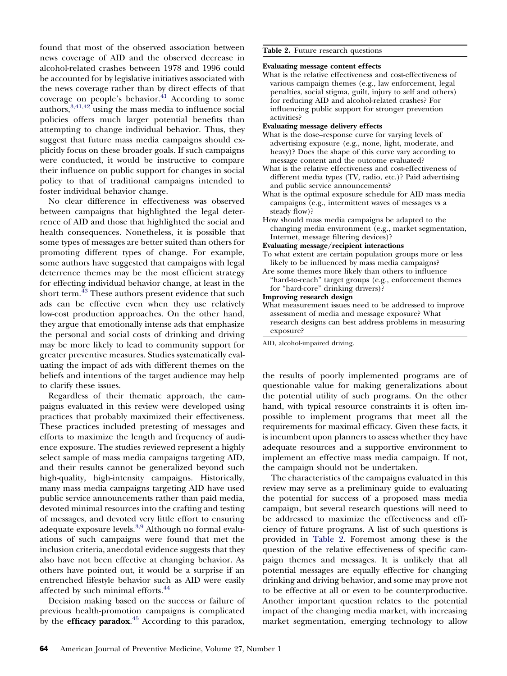found that most of the observed association between news coverage of AID and the observed decrease in alcohol-related crashes between 1978 and 1996 could be accounted for by legislative initiatives associated with the news coverage rather than by direct effects of that coverage on people's behavior.<sup>41</sup> According to some authors,  $3,41,42$  using the mass media to influence social policies offers much larger potential benefits than attempting to change individual behavior. Thus, they suggest that future mass media campaigns should explicitly focus on these broader goals. If such campaigns were conducted, it would be instructive to compare their influence on public support for changes in social policy to that of traditional campaigns intended to foster individual behavior change.

No clear difference in effectiveness was observed between campaigns that highlighted the legal deterrence of AID and those that highlighted the social and health consequences. Nonetheless, it is possible that some types of messages are better suited than others for promoting different types of change. For example, some authors have suggested that campaigns with legal deterrence themes may be the most efficient strategy for effecting individual behavior change, at least in the short term. $43$  These authors present evidence that such ads can be effective even when they use relatively low-cost production approaches. On the other hand, they argue that emotionally intense ads that emphasize the personal and social costs of drinking and driving may be more likely to lead to community support for greater preventive measures. Studies systematically evaluating the impact of ads with different themes on the beliefs and intentions of the target audience may help to clarify these issues.

Regardless of their thematic approach, the campaigns evaluated in this review were developed using practices that probably maximized their effectiveness. These practices included pretesting of messages and efforts to maximize the length and frequency of audience exposure. The studies reviewed represent a highly select sample of mass media campaigns targeting AID, and their results cannot be generalized beyond such high-quality, high-intensity campaigns. Historically, many mass media campaigns targeting AID have used public service announcements rather than paid media, devoted minimal resources into the crafting and testing of messages, and devoted very little effort to ensuring adequate exposure levels.<sup>3,9</sup> Although no formal evaluations of such campaigns were found that met the inclusion criteria, anecdotal evidence suggests that they also have not been effective at changing behavior. As others have pointed out, it would be a surprise if an entrenched lifestyle behavior such as AID were easily affected by such minimal efforts.<sup>44</sup>

Decision making based on the success or failure of previous health-promotion campaigns is complicated by the **efficacy paradox**. [45](#page-8-0) According to this paradox,

#### **Table 2.** Future research questions

#### **Evaluating message content effects**

What is the relative effectiveness and cost-effectiveness of various campaign themes (e.g., law enforcement, legal penalties, social stigma, guilt, injury to self and others) for reducing AID and alcohol-related crashes? For influencing public support for stronger prevention activities?

**Evaluating message delivery effects**

What is the dose–response curve for varying levels of advertising exposure (e.g., none, light, moderate, and heavy)? Does the shape of this curve vary according to message content and the outcome evaluated?

- What is the relative effectiveness and cost-effectiveness of different media types (TV, radio, etc.)? Paid advertising and public service announcements?
- What is the optimal exposure schedule for AID mass media campaigns (e.g., intermittent waves of messages vs a steady flow)?
- How should mass media campaigns be adapted to the changing media environment (e.g., market segmentation, Internet, message filtering devices)?

**Evaluating message/recipient interactions**

- To what extent are certain population groups more or less likely to be influenced by mass media campaigns?
- Are some themes more likely than others to influence "hard-to-reach" target groups (e.g., enforcement themes for "hard-core" drinking drivers)?

#### **Improving research design**

What measurement issues need to be addressed to improve assessment of media and message exposure? What research designs can best address problems in measuring exposure?

AID, alcohol-impaired driving.

the results of poorly implemented programs are of questionable value for making generalizations about the potential utility of such programs. On the other hand, with typical resource constraints it is often impossible to implement programs that meet all the requirements for maximal efficacy. Given these facts, it is incumbent upon planners to assess whether they have adequate resources and a supportive environment to implement an effective mass media campaign. If not, the campaign should not be undertaken.

The characteristics of the campaigns evaluated in this review may serve as a preliminary guide to evaluating the potential for success of a proposed mass media campaign, but several research questions will need to be addressed to maximize the effectiveness and efficiency of future programs. A list of such questions is provided in Table 2. Foremost among these is the question of the relative effectiveness of specific campaign themes and messages. It is unlikely that all potential messages are equally effective for changing drinking and driving behavior, and some may prove not to be effective at all or even to be counterproductive. Another important question relates to the potential impact of the changing media market, with increasing market segmentation, emerging technology to allow